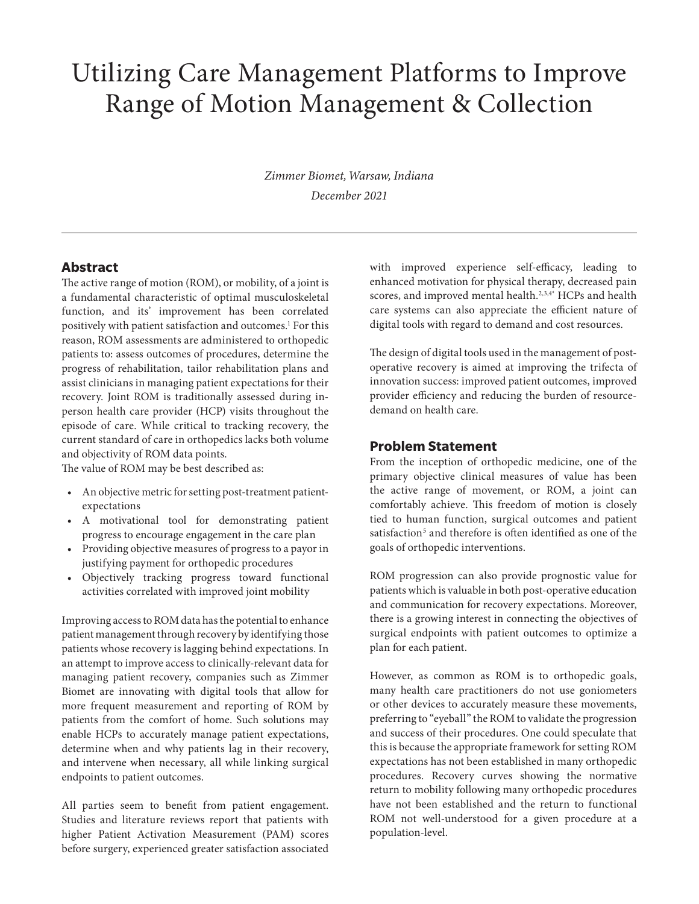# Utilizing Care Management Platforms to Improve Range of Motion Management & Collection

*Zimmer Biomet, Warsaw, Indiana December 2021*

#### **Abstract**

The active range of motion (ROM), or mobility, of a joint is a fundamental characteristic of optimal musculoskeletal function, and its' improvement has been correlated positively with patient satisfaction and outcomes.<sup>1</sup> For this reason, ROM assessments are administered to orthopedic patients to: assess outcomes of procedures, determine the progress of rehabilitation, tailor rehabilitation plans and assist clinicians in managing patient expectations for their recovery. Joint ROM is traditionally assessed during inperson health care provider (HCP) visits throughout the episode of care. While critical to tracking recovery, the current standard of care in orthopedics lacks both volume and objectivity of ROM data points.

The value of ROM may be best described as:

- An objective metric for setting post-treatment patientexpectations
- A motivational tool for demonstrating patient progress to encourage engagement in the care plan
- Providing objective measures of progress to a payor in justifying payment for orthopedic procedures
- Objectively tracking progress toward functional activities correlated with improved joint mobility

Improving access to ROM data has the potential to enhance patient management through recovery by identifying those patients whose recovery is lagging behind expectations. In an attempt to improve access to clinically-relevant data for managing patient recovery, companies such as Zimmer Biomet are innovating with digital tools that allow for more frequent measurement and reporting of ROM by patients from the comfort of home. Such solutions may enable HCPs to accurately manage patient expectations, determine when and why patients lag in their recovery, and intervene when necessary, all while linking surgical endpoints to patient outcomes.

All parties seem to benefit from patient engagement. Studies and literature reviews report that patients with higher Patient Activation Measurement (PAM) scores before surgery, experienced greater satisfaction associated with improved experience self-efficacy, leading to enhanced motivation for physical therapy, decreased pain scores, and improved mental health.<sup>2,3,4\*</sup> HCPs and health care systems can also appreciate the efficient nature of digital tools with regard to demand and cost resources.

The design of digital tools used in the management of postoperative recovery is aimed at improving the trifecta of innovation success: improved patient outcomes, improved provider efficiency and reducing the burden of resourcedemand on health care.

#### **Problem Statement**

From the inception of orthopedic medicine, one of the primary objective clinical measures of value has been the active range of movement, or ROM, a joint can comfortably achieve. This freedom of motion is closely tied to human function, surgical outcomes and patient satisfaction<sup>5</sup> and therefore is often identified as one of the goals of orthopedic interventions.

ROM progression can also provide prognostic value for patients which is valuable in both post-operative education and communication for recovery expectations. Moreover, there is a growing interest in connecting the objectives of surgical endpoints with patient outcomes to optimize a plan for each patient.

However, as common as ROM is to orthopedic goals, many health care practitioners do not use goniometers or other devices to accurately measure these movements, preferring to "eyeball" the ROM to validate the progression and success of their procedures. One could speculate that this is because the appropriate framework for setting ROM expectations has not been established in many orthopedic procedures. Recovery curves showing the normative return to mobility following many orthopedic procedures have not been established and the return to functional ROM not well-understood for a given procedure at a population-level.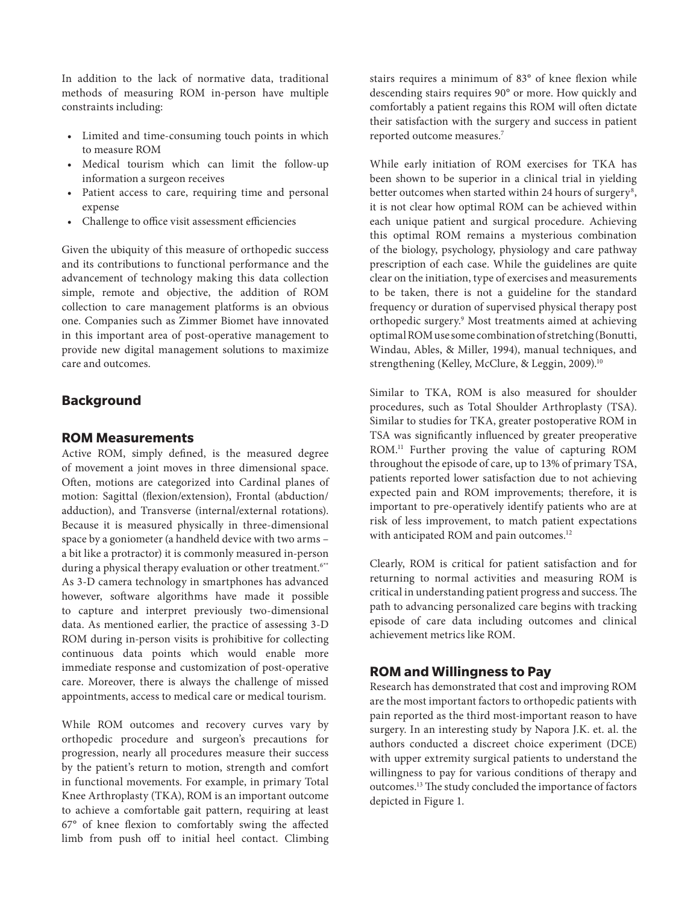In addition to the lack of normative data, traditional methods of measuring ROM in-person have multiple constraints including:

- Limited and time-consuming touch points in which to measure ROM
- Medical tourism which can limit the follow-up information a surgeon receives
- Patient access to care, requiring time and personal expense
- Challenge to office visit assessment efficiencies

Given the ubiquity of this measure of orthopedic success and its contributions to functional performance and the advancement of technology making this data collection simple, remote and objective, the addition of ROM collection to care management platforms is an obvious one. Companies such as Zimmer Biomet have innovated in this important area of post-operative management to provide new digital management solutions to maximize care and outcomes.

## **Background**

#### **ROM Measurements**

Active ROM, simply defined, is the measured degree of movement a joint moves in three dimensional space. Often, motions are categorized into Cardinal planes of motion: Sagittal (flexion/extension), Frontal (abduction/ adduction), and Transverse (internal/external rotations). Because it is measured physically in three-dimensional space by a goniometer (a handheld device with two arms – a bit like a protractor) it is commonly measured in-person during a physical therapy evaluation or other treatment.<sup>6\*\*</sup> As 3-D camera technology in smartphones has advanced however, software algorithms have made it possible to capture and interpret previously two-dimensional data. As mentioned earlier, the practice of assessing 3-D ROM during in-person visits is prohibitive for collecting continuous data points which would enable more immediate response and customization of post-operative care. Moreover, there is always the challenge of missed appointments, access to medical care or medical tourism.

While ROM outcomes and recovery curves vary by orthopedic procedure and surgeon's precautions for progression, nearly all procedures measure their success by the patient's return to motion, strength and comfort in functional movements. For example, in primary Total Knee Arthroplasty (TKA), ROM is an important outcome to achieve a comfortable gait pattern, requiring at least 67° of knee flexion to comfortably swing the affected limb from push off to initial heel contact. Climbing stairs requires a minimum of 83° of knee flexion while descending stairs requires 90° or more. How quickly and comfortably a patient regains this ROM will often dictate their satisfaction with the surgery and success in patient reported outcome measures.7

While early initiation of ROM exercises for TKA has been shown to be superior in a clinical trial in yielding better outcomes when started within 24 hours of surgery<sup>8</sup>, it is not clear how optimal ROM can be achieved within each unique patient and surgical procedure. Achieving this optimal ROM remains a mysterious combination of the biology, psychology, physiology and care pathway prescription of each case. While the guidelines are quite clear on the initiation, type of exercises and measurements to be taken, there is not a guideline for the standard frequency or duration of supervised physical therapy post orthopedic surgery.9 Most treatments aimed at achieving optimal ROM use some combination of stretching (Bonutti, Windau, Ables, & Miller, 1994), manual techniques, and strengthening (Kelley, McClure, & Leggin, 2009).<sup>10</sup>

Similar to TKA, ROM is also measured for shoulder procedures, such as Total Shoulder Arthroplasty (TSA). Similar to studies for TKA, greater postoperative ROM in TSA was significantly influenced by greater preoperative ROM.11 Further proving the value of capturing ROM throughout the episode of care, up to 13% of primary TSA, patients reported lower satisfaction due to not achieving expected pain and ROM improvements; therefore, it is important to pre-operatively identify patients who are at risk of less improvement, to match patient expectations with anticipated ROM and pain outcomes.<sup>12</sup>

Clearly, ROM is critical for patient satisfaction and for returning to normal activities and measuring ROM is critical in understanding patient progress and success. The path to advancing personalized care begins with tracking episode of care data including outcomes and clinical achievement metrics like ROM.

## **ROM and Willingness to Pay**

Research has demonstrated that cost and improving ROM are the most important factors to orthopedic patients with pain reported as the third most-important reason to have surgery. In an interesting study by Napora J.K. et. al. the authors conducted a discreet choice experiment (DCE) with upper extremity surgical patients to understand the willingness to pay for various conditions of therapy and outcomes.13 The study concluded the importance of factors depicted in Figure 1.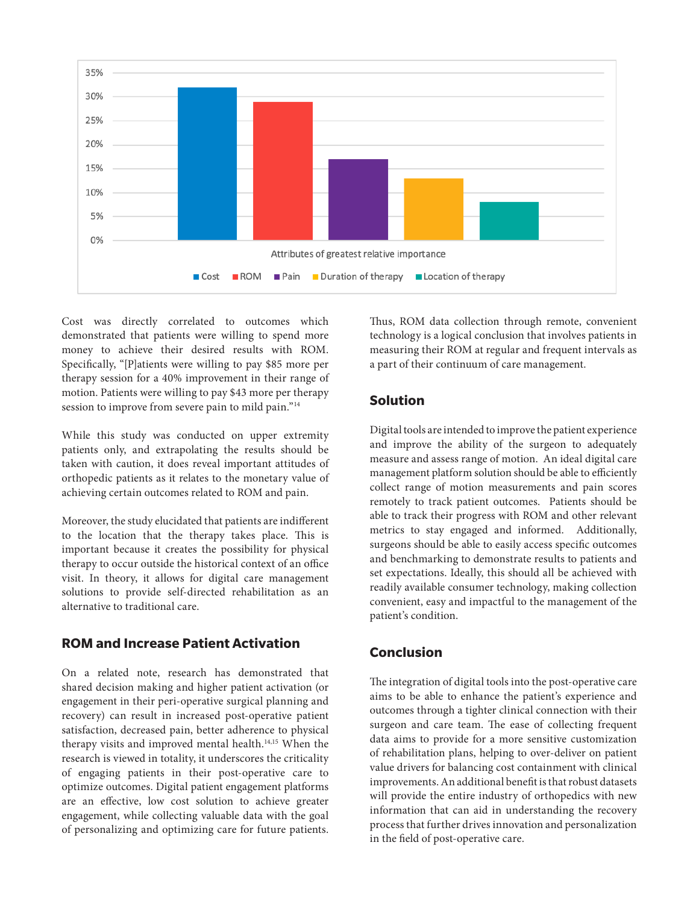

Cost was directly correlated to outcomes which demonstrated that patients were willing to spend more money to achieve their desired results with ROM. Specifically, "[P]atients were willing to pay \$85 more per therapy session for a 40% improvement in their range of motion. Patients were willing to pay \$43 more per therapy session to improve from severe pain to mild pain."14

While this study was conducted on upper extremity patients only, and extrapolating the results should be taken with caution, it does reveal important attitudes of orthopedic patients as it relates to the monetary value of achieving certain outcomes related to ROM and pain.

Moreover, the study elucidated that patients are indifferent to the location that the therapy takes place. This is important because it creates the possibility for physical therapy to occur outside the historical context of an office visit. In theory, it allows for digital care management solutions to provide self-directed rehabilitation as an alternative to traditional care.

## **ROM and Increase Patient Activation**

On a related note, research has demonstrated that shared decision making and higher patient activation (or engagement in their peri-operative surgical planning and recovery) can result in increased post-operative patient satisfaction, decreased pain, better adherence to physical therapy visits and improved mental health.<sup>14,15</sup> When the research is viewed in totality, it underscores the criticality of engaging patients in their post-operative care to optimize outcomes. Digital patient engagement platforms are an effective, low cost solution to achieve greater engagement, while collecting valuable data with the goal of personalizing and optimizing care for future patients.

Thus, ROM data collection through remote, convenient technology is a logical conclusion that involves patients in measuring their ROM at regular and frequent intervals as a part of their continuum of care management.

## **Solution**

Digital tools are intended to improve the patient experience and improve the ability of the surgeon to adequately measure and assess range of motion. An ideal digital care management platform solution should be able to efficiently collect range of motion measurements and pain scores remotely to track patient outcomes. Patients should be able to track their progress with ROM and other relevant metrics to stay engaged and informed. Additionally, surgeons should be able to easily access specific outcomes and benchmarking to demonstrate results to patients and set expectations. Ideally, this should all be achieved with readily available consumer technology, making collection convenient, easy and impactful to the management of the patient's condition.

## **Conclusion**

The integration of digital tools into the post-operative care aims to be able to enhance the patient's experience and outcomes through a tighter clinical connection with their surgeon and care team. The ease of collecting frequent data aims to provide for a more sensitive customization of rehabilitation plans, helping to over-deliver on patient value drivers for balancing cost containment with clinical improvements. An additional benefit is that robust datasets will provide the entire industry of orthopedics with new information that can aid in understanding the recovery process that further drives innovation and personalization in the field of post-operative care.